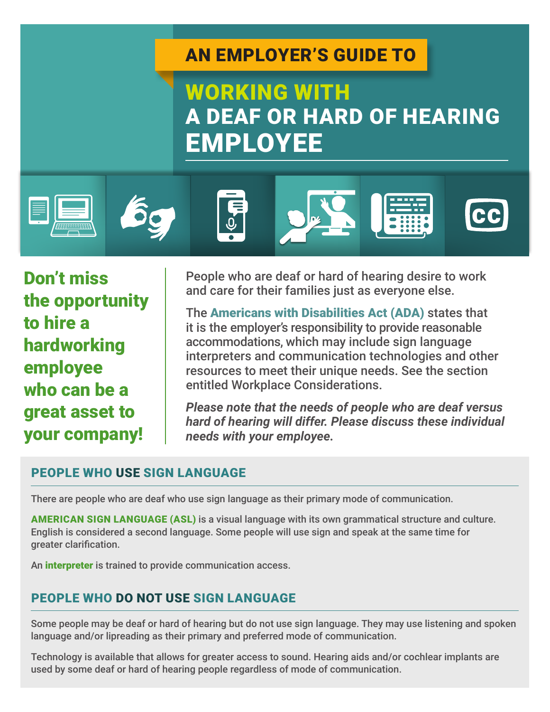## AN EMPLOYER'S GUIDE TO

# WORKING WITH A DEAF OR HARD OF HEARING EMPLOYEE













Don't miss the opportunity to hire a hardworking employee who can be a great asset to your company!

People who are deaf or hard of hearing desire to work and care for their families just as everyone else.

The Americans with Disabilities Act (ADA) states that it is the employer's responsibility to provide reasonable accommodations, which may include sign language interpreters and communication technologies and other resources to meet their unique needs. See the section entitled Workplace Considerations.

*Please note that the needs of people who are deaf versus hard of hearing will differ. Please discuss these individual needs with your employee.*

### PEOPLE WHO USE SIGN LANGUAGE

There are people who are deaf who use sign language as their primary mode of communication.

AMERICAN SIGN LANGUAGE (ASL) is a visual language with its own grammatical structure and culture. English is considered a second language. Some people will use sign and speak at the same time for greater clarification.

An **interpreter** is trained to provide communication access.

### PEOPLE WHO DO NOT USE SIGN LANGUAGE

Some people may be deaf or hard of hearing but do not use sign language. They may use listening and spoken language and/or lipreading as their primary and preferred mode of communication.

Technology is available that allows for greater access to sound. Hearing aids and/or cochlear implants are used by some deaf or hard of hearing people regardless of mode of communication.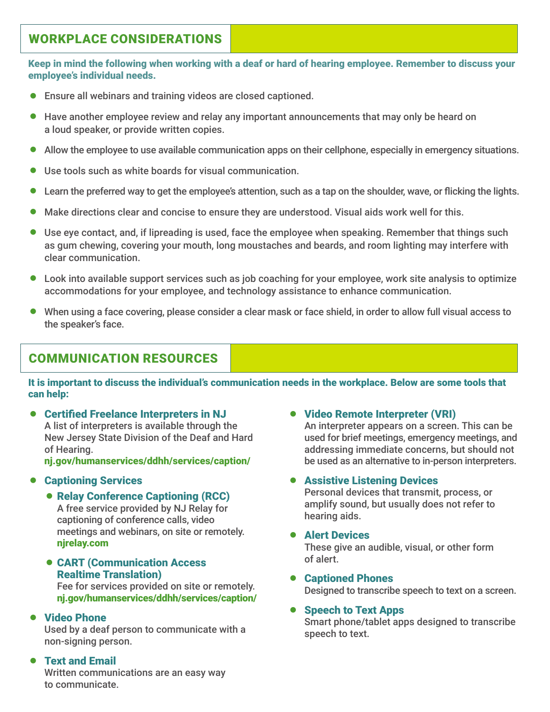### WORKPLACE CONSIDERATIONS

Keep in mind the following when working with a deaf or hard of hearing employee. Remember to discuss your employee's individual needs.

- Ensure all webinars and training videos are closed captioned.
- = Have another employee review and relay any important announcements that may only be heard on a loud speaker, or provide written copies.
- Allow the employee to use available communication apps on their cellphone, especially in emergency situations.
- = Use tools such as white boards for visual communication.
- Learn the preferred way to get the employee's attention, such as a tap on the shoulder, wave, or flicking the lights.
- Make directions clear and concise to ensure they are understood. Visual aids work well for this.
- = Use eye contact, and, if lipreading is used, face the employee when speaking. Remember that things such as gum chewing, covering your mouth, long moustaches and beards, and room lighting may interfere with clear communication.
- Look into available support services such as job coaching for your employee, work site analysis to optimize accommodations for your employee, and technology assistance to enhance communication.
- = When using a face covering, please consider a clear mask or face shield, in order to allow full visual access to the speaker's face.

### COMMUNICATION RESOURCES

It is important to discuss the individual's communication needs in the workplace. Below are some tools that can help:

● Certified Freelance Interpreters in NJ A list of interpreters is available through the New Jersey State Division of the Deaf and Hard of Hearing.

[nj.gov/humanservices/ddhh/services/caption/](http://nj.gov/humanservices/ddhh/services/caption/)

#### **• Captioning Services**

• Relay Conference Captioning (RCC)

A free service provided by NJ Relay for captioning of conference calls, video meetings and webinars, on site or remotely. [njrelay.com](http://njrelay.com)

**• CART (Communication Access)** Realtime Translation)

Fee for services provided on site or remotely. [nj.gov/humanservices/ddhh/services/caption/](http://nj.gov/humanservices/ddhh/services/caption/)

#### • Video Phone

Used by a deaf person to communicate with a non-signing person.

#### **• Text and Email**

Written communications are an easy way to communicate.

#### • Video Remote Interpreter (VRI)

An interpreter appears on a screen. This can be used for brief meetings, emergency meetings, and addressing immediate concerns, but should not be used as an alternative to in-person interpreters.

#### **• Assistive Listening Devices**

Personal devices that transmit, process, or amplify sound, but usually does not refer to hearing aids.

#### **• Alert Devices**

These give an audible, visual, or other form of alert.

#### **• Captioned Phones** Designed to transcribe speech to text on a screen.

#### Speech to Text Apps

Smart phone/tablet apps designed to transcribe speech to text.